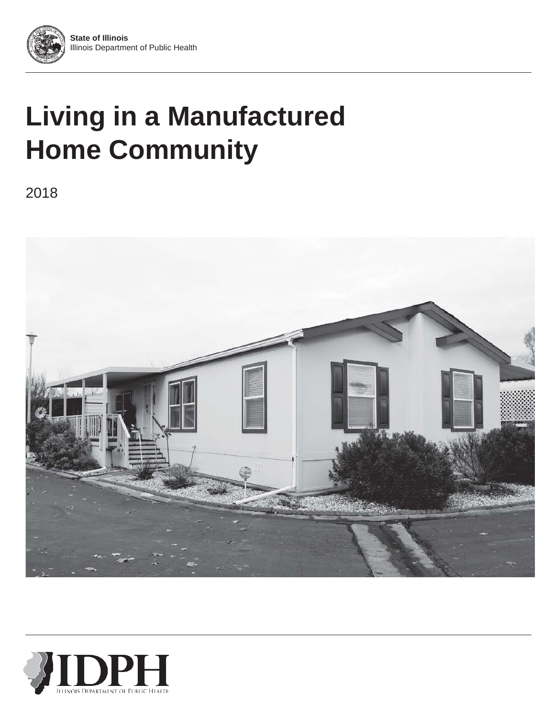# **Living in a Manufactured Home Community**

2018



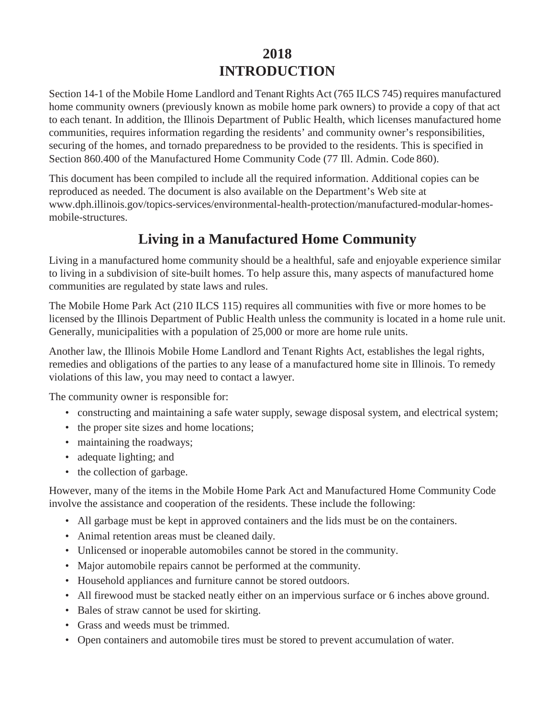# **2018 INTRODUCTION**

Section 14-1 of the Mobile Home Landlord and Tenant Rights Act (765 ILCS 745) requires manufactured home community owners (previously known as mobile home park owners) to provide a copy of that act to each tenant. In addition, the Illinois Department of Public Health, which licenses manufactured home communities, requires information regarding the residents' and community owner's responsibilities, securing of the homes, and tornado preparedness to be provided to the residents. This is specified in Section 860.400 of the Manufactured Home Community Code (77 Ill. Admin. Code 860).

This document has been compiled to include all the required information. Additional copies can be reproduced as needed. The document is also available on the Department's Web site a[t](http://www.dph.illinois.gov/topics-services/environmental-health-protection/manufactured-modular-homes-) [www.dph.illinois.gov/topics-services/environmental-health-protection/manufactured-modular-homes](http://www.dph.illinois.gov/topics-services/environmental-health-protection/manufactured-modular-homes-)mobile-structures.

# **Living in a Manufactured Home Community**

Living in a manufactured home community should be a healthful, safe and enjoyable experience similar to living in a subdivision of site-built homes. To help assure this, many aspects of manufactured home communities are regulated by state laws and rules.

The Mobile Home Park Act (210 ILCS 115) requires all communities with five or more homes to be licensed by the Illinois Department of Public Health unless the community is located in a home rule unit. Generally, municipalities with a population of 25,000 or more are home rule units.

Another law, the Illinois Mobile Home Landlord and Tenant Rights Act, establishes the legal rights, remedies and obligations of the parties to any lease of a manufactured home site in Illinois. To remedy violations of this law, you may need to contact a lawyer.

The community owner is responsible for:

- constructing and maintaining a safe water supply, sewage disposal system, and electrical system;
- the proper site sizes and home locations;
- maintaining the roadways;
- adequate lighting; and
- the collection of garbage.

However, many of the items in the Mobile Home Park Act and Manufactured Home Community Code involve the assistance and cooperation of the residents. These include the following:

- All garbage must be kept in approved containers and the lids must be on the containers.
- Animal retention areas must be cleaned daily.
- Unlicensed or inoperable automobiles cannot be stored in the community.
- Major automobile repairs cannot be performed at the community.
- Household appliances and furniture cannot be stored outdoors.
- All firewood must be stacked neatly either on an impervious surface or 6 inches above ground.
- Bales of straw cannot be used for skirting.
- Grass and weeds must be trimmed.
- Open containers and automobile tires must be stored to prevent accumulation of water.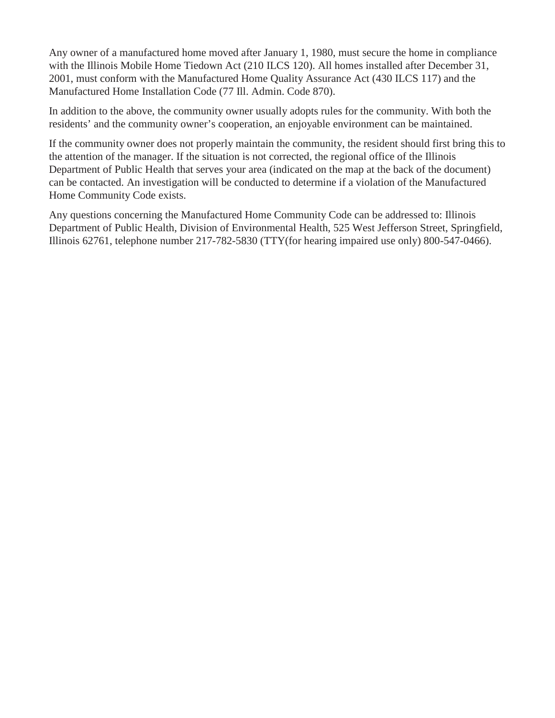Any owner of a manufactured home moved after January 1, 1980, must secure the home in compliance with the Illinois Mobile Home Tiedown Act (210 ILCS 120). All homes installed after December 31, 2001, must conform with the Manufactured Home Quality Assurance Act (430 ILCS 117) and the Manufactured Home Installation Code (77 Ill. Admin. Code 870).

In addition to the above, the community owner usually adopts rules for the community. With both the residents' and the community owner's cooperation, an enjoyable environment can be maintained.

If the community owner does not properly maintain the community, the resident should first bring this to the attention of the manager. If the situation is not corrected, the regional office of the Illinois Department of Public Health that serves your area (indicated on the map at the back of the document) can be contacted. An investigation will be conducted to determine if a violation of the Manufactured Home Community Code exists.

Any questions concerning the Manufactured Home Community Code can be addressed to: Illinois Department of Public Health, Division of Environmental Health, 525 West Jefferson Street, Springfield, Illinois 62761, telephone number 217-782-5830 (TTY(for hearing impaired use only) 800-547-0466).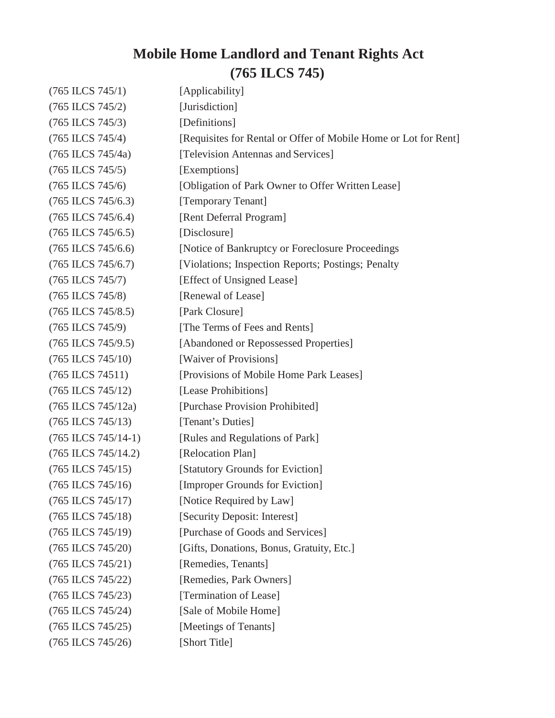# **Mobile Home Landlord and Tenant Rights Act (765 ILCS 745)**

| [Applicability]                                                 |
|-----------------------------------------------------------------|
| [Jurisdiction]                                                  |
| [Definitions]                                                   |
| [Requisites for Rental or Offer of Mobile Home or Lot for Rent] |
| [Television Antennas and Services]                              |
| [Exemptions]                                                    |
| [Obligation of Park Owner to Offer Written Lease]               |
| [Temporary Tenant]                                              |
| [Rent Deferral Program]                                         |
| [Disclosure]                                                    |
| [Notice of Bankruptcy or Foreclosure Proceedings]               |
| [Violations; Inspection Reports; Postings; Penalty              |
| [Effect of Unsigned Lease]                                      |
| [Renewal of Lease]                                              |
| [Park Closure]                                                  |
| [The Terms of Fees and Rents]                                   |
| [Abandoned or Repossessed Properties]                           |
| [Waiver of Provisions]                                          |
| [Provisions of Mobile Home Park Leases]                         |
| [Lease Prohibitions]                                            |
| [Purchase Provision Prohibited]                                 |
| [Tenant's Duties]                                               |
| [Rules and Regulations of Park]                                 |
| [Relocation Plan]                                               |
| [Statutory Grounds for Eviction]                                |
| [Improper Grounds for Eviction]                                 |
| [Notice Required by Law]                                        |
| [Security Deposit: Interest]                                    |
| [Purchase of Goods and Services]                                |
| [Gifts, Donations, Bonus, Gratuity, Etc.]                       |
| [Remedies, Tenants]                                             |
| [Remedies, Park Owners]                                         |
| [Termination of Lease]                                          |
| [Sale of Mobile Home]                                           |
| [Meetings of Tenants]                                           |
| [Short Title]                                                   |
|                                                                 |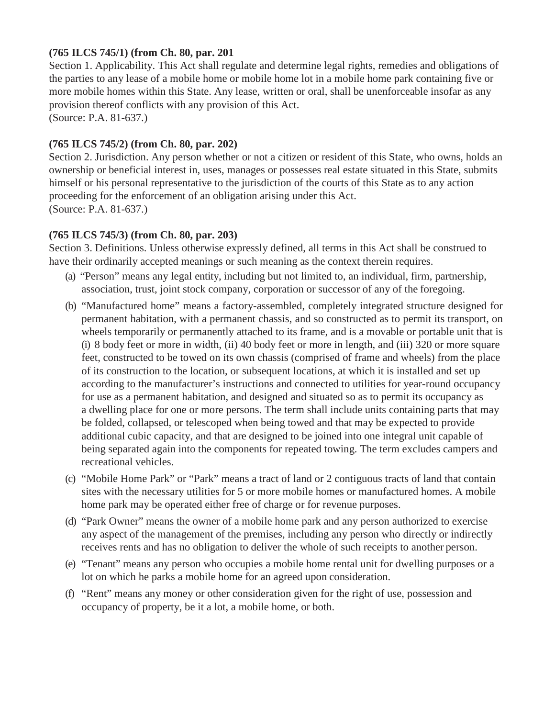#### **(765 ILCS 745/1) (from Ch. 80, par. 201**

Section 1. Applicability. This Act shall regulate and determine legal rights, remedies and obligations of the parties to any lease of a mobile home or mobile home lot in a mobile home park containing five or more mobile homes within this State. Any lease, written or oral, shall be unenforceable insofar as any provision thereof conflicts with any provision of this Act. (Source: P.A. 81-637.)

#### **(765 ILCS 745/2) (from Ch. 80, par. 202)**

Section 2. Jurisdiction. Any person whether or not a citizen or resident of this State, who owns, holds an ownership or beneficial interest in, uses, manages or possesses real estate situated in this State, submits himself or his personal representative to the jurisdiction of the courts of this State as to any action proceeding for the enforcement of an obligation arising under this Act. (Source: P.A. 81-637.)

#### **(765 ILCS 745/3) (from Ch. 80, par. 203)**

Section 3. Definitions. Unless otherwise expressly defined, all terms in this Act shall be construed to have their ordinarily accepted meanings or such meaning as the context therein requires.

- (a) "Person" means any legal entity, including but not limited to, an individual, firm, partnership, association, trust, joint stock company, corporation or successor of any of the foregoing.
- (b) "Manufactured home" means a factory-assembled, completely integrated structure designed for permanent habitation, with a permanent chassis, and so constructed as to permit its transport, on wheels temporarily or permanently attached to its frame, and is a movable or portable unit that is (i) 8 body feet or more in width, (ii) 40 body feet or more in length, and (iii) 320 or more square feet, constructed to be towed on its own chassis (comprised of frame and wheels) from the place of its construction to the location, or subsequent locations, at which it is installed and set up according to the manufacturer's instructions and connected to utilities for year-round occupancy for use as a permanent habitation, and designed and situated so as to permit its occupancy as a dwelling place for one or more persons. The term shall include units containing parts that may be folded, collapsed, or telescoped when being towed and that may be expected to provide additional cubic capacity, and that are designed to be joined into one integral unit capable of being separated again into the components for repeated towing. The term excludes campers and recreational vehicles.
- (c) "Mobile Home Park" or "Park" means a tract of land or 2 contiguous tracts of land that contain sites with the necessary utilities for 5 or more mobile homes or manufactured homes. A mobile home park may be operated either free of charge or for revenue purposes.
- (d) "Park Owner" means the owner of a mobile home park and any person authorized to exercise any aspect of the management of the premises, including any person who directly or indirectly receives rents and has no obligation to deliver the whole of such receipts to another person.
- (e) "Tenant" means any person who occupies a mobile home rental unit for dwelling purposes or a lot on which he parks a mobile home for an agreed upon consideration.
- (f) "Rent" means any money or other consideration given for the right of use, possession and occupancy of property, be it a lot, a mobile home, or both.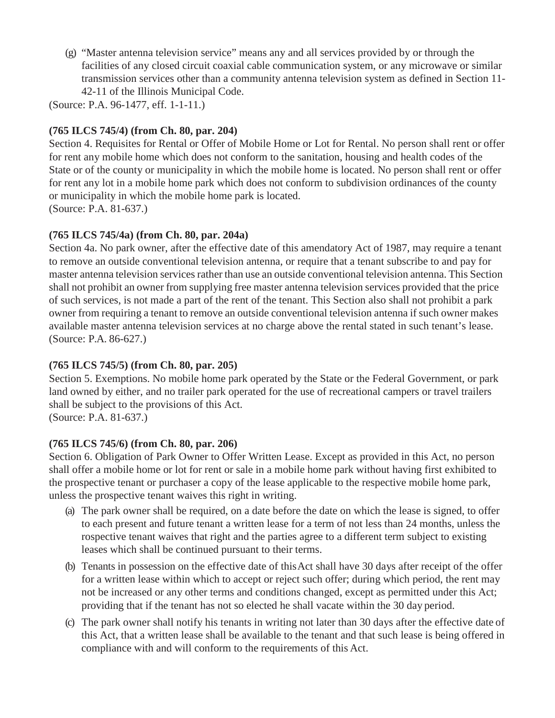(g) "Master antenna television service" means any and all services provided by or through the facilities of any closed circuit coaxial cable communication system, or any microwave or similar transmission services other than a community antenna television system as defined in Section 11- 42-11 of the Illinois Municipal Code.

(Source: P.A. 96-1477, eff. 1-1-11.)

#### **(765 ILCS 745/4) (from Ch. 80, par. 204)**

Section 4. Requisites for Rental or Offer of Mobile Home or Lot for Rental. No person shall rent or offer for rent any mobile home which does not conform to the sanitation, housing and health codes of the State or of the county or municipality in which the mobile home is located. No person shall rent or offer for rent any lot in a mobile home park which does not conform to subdivision ordinances of the county or municipality in which the mobile home park is located. (Source: P.A. 81-637.)

#### **(765 ILCS 745/4a) (from Ch. 80, par. 204a)**

Section 4a. No park owner, after the effective date of this amendatory Act of 1987, may require a tenant to remove an outside conventional television antenna, or require that a tenant subscribe to and pay for master antenna television services rather than use an outside conventional television antenna. This Section shall not prohibit an owner from supplying free master antenna television services provided that the price of such services, is not made a part of the rent of the tenant. This Section also shall not prohibit a park owner from requiring a tenant to remove an outside conventional television antenna if such owner makes available master antenna television services at no charge above the rental stated in such tenant's lease. (Source: P.A. 86-627.)

#### **(765 ILCS 745/5) (from Ch. 80, par. 205)**

Section 5. Exemptions. No mobile home park operated by the State or the Federal Government, or park land owned by either, and no trailer park operated for the use of recreational campers or travel trailers shall be subject to the provisions of this Act. (Source: P.A. 81-637.)

#### **(765 ILCS 745/6) (from Ch. 80, par. 206)**

Section 6. Obligation of Park Owner to Offer Written Lease. Except as provided in this Act, no person shall offer a mobile home or lot for rent or sale in a mobile home park without having first exhibited to the prospective tenant or purchaser a copy of the lease applicable to the respective mobile home park, unless the prospective tenant waives this right in writing.

- (a) The park owner shall be required, on a date before the date on which the lease is signed, to offer to each present and future tenant a written lease for a term of not less than 24 months, unless the rospective tenant waives that right and the parties agree to a different term subject to existing leases which shall be continued pursuant to their terms.
- (b) Tenants in possession on the effective date of thisAct shall have 30 days after receipt of the offer for a written lease within which to accept or reject such offer; during which period, the rent may not be increased or any other terms and conditions changed, except as permitted under this Act; providing that if the tenant has not so elected he shall vacate within the 30 day period.
- (c) The park owner shall notify his tenants in writing not later than 30 days after the effective date of this Act, that a written lease shall be available to the tenant and that such lease is being offered in compliance with and will conform to the requirements of this Act.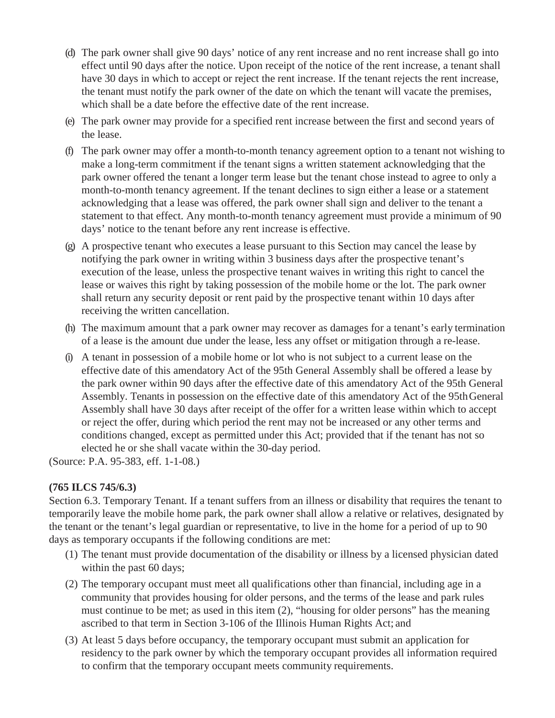- (d) The park owner shall give 90 days' notice of any rent increase and no rent increase shall go into effect until 90 days after the notice. Upon receipt of the notice of the rent increase, a tenant shall have 30 days in which to accept or reject the rent increase. If the tenant rejects the rent increase, the tenant must notify the park owner of the date on which the tenant will vacate the premises, which shall be a date before the effective date of the rent increase.
- (e) The park owner may provide for a specified rent increase between the first and second years of the lease.
- (f) The park owner may offer a month-to-month tenancy agreement option to a tenant not wishing to make a long-term commitment if the tenant signs a written statement acknowledging that the park owner offered the tenant a longer term lease but the tenant chose instead to agree to only a month-to-month tenancy agreement. If the tenant declines to sign either a lease or a statement acknowledging that a lease was offered, the park owner shall sign and deliver to the tenant a statement to that effect. Any month-to-month tenancy agreement must provide a minimum of 90 days' notice to the tenant before any rent increase is effective.
- (g) A prospective tenant who executes a lease pursuant to this Section may cancel the lease by notifying the park owner in writing within 3 business days after the prospective tenant's execution of the lease, unless the prospective tenant waives in writing this right to cancel the lease or waives this right by taking possession of the mobile home or the lot. The park owner shall return any security deposit or rent paid by the prospective tenant within 10 days after receiving the written cancellation.
- (h) The maximum amount that a park owner may recover as damages for a tenant's early termination of a lease is the amount due under the lease, less any offset or mitigation through a re-lease.
- (i) A tenant in possession of a mobile home or lot who is not subject to a current lease on the effective date of this amendatory Act of the 95th General Assembly shall be offered a lease by the park owner within 90 days after the effective date of this amendatory Act of the 95th General Assembly. Tenants in possession on the effective date of this amendatory Act of the 95thGeneral Assembly shall have 30 days after receipt of the offer for a written lease within which to accept or reject the offer, during which period the rent may not be increased or any other terms and conditions changed, except as permitted under this Act; provided that if the tenant has not so elected he or she shall vacate within the 30-day period.

(Source: P.A. 95-383, eff. 1-1-08.)

#### **(765 ILCS 745/6.3)**

Section 6.3. Temporary Tenant. If a tenant suffers from an illness or disability that requires the tenant to temporarily leave the mobile home park, the park owner shall allow a relative or relatives, designated by the tenant or the tenant's legal guardian or representative, to live in the home for a period of up to 90 days as temporary occupants if the following conditions are met:

- (1) The tenant must provide documentation of the disability or illness by a licensed physician dated within the past 60 days;
- (2) The temporary occupant must meet all qualifications other than financial, including age in a community that provides housing for older persons, and the terms of the lease and park rules must continue to be met; as used in this item (2), "housing for older persons" has the meaning ascribed to that term in Section 3-106 of the Illinois Human Rights Act; and
- (3) At least 5 days before occupancy, the temporary occupant must submit an application for residency to the park owner by which the temporary occupant provides all information required to confirm that the temporary occupant meets community requirements.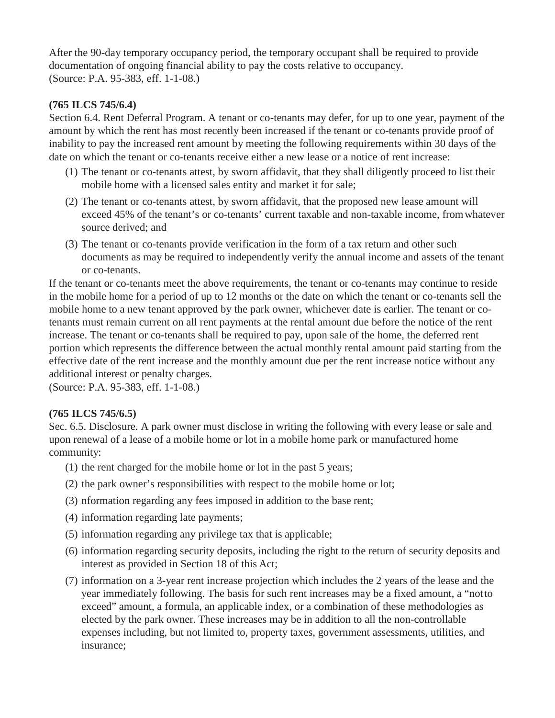After the 90-day temporary occupancy period, the temporary occupant shall be required to provide documentation of ongoing financial ability to pay the costs relative to occupancy. (Source: P.A. 95-383, eff. 1-1-08.)

#### **(765 ILCS 745/6.4)**

Section 6.4. Rent Deferral Program. A tenant or co-tenants may defer, for up to one year, payment of the amount by which the rent has most recently been increased if the tenant or co-tenants provide proof of inability to pay the increased rent amount by meeting the following requirements within 30 days of the date on which the tenant or co-tenants receive either a new lease or a notice of rent increase:

- (1) The tenant or co-tenants attest, by sworn affidavit, that they shall diligently proceed to list their mobile home with a licensed sales entity and market it for sale;
- (2) The tenant or co-tenants attest, by sworn affidavit, that the proposed new lease amount will exceed 45% of the tenant's or co-tenants' current taxable and non-taxable income, fromwhatever source derived; and
- (3) The tenant or co-tenants provide verification in the form of a tax return and other such documents as may be required to independently verify the annual income and assets of the tenant or co-tenants.

If the tenant or co-tenants meet the above requirements, the tenant or co-tenants may continue to reside in the mobile home for a period of up to 12 months or the date on which the tenant or co-tenants sell the mobile home to a new tenant approved by the park owner, whichever date is earlier. The tenant or cotenants must remain current on all rent payments at the rental amount due before the notice of the rent increase. The tenant or co-tenants shall be required to pay, upon sale of the home, the deferred rent portion which represents the difference between the actual monthly rental amount paid starting from the effective date of the rent increase and the monthly amount due per the rent increase notice without any additional interest or penalty charges.

(Source: P.A. 95-383, eff. 1-1-08.)

#### **(765 ILCS 745/6.5)**

Sec. 6.5. Disclosure. A park owner must disclose in writing the following with every lease or sale and upon renewal of a lease of a mobile home or lot in a mobile home park or manufactured home community:

- (1) the rent charged for the mobile home or lot in the past 5 years;
- (2) the park owner's responsibilities with respect to the mobile home or lot;
- (3) nformation regarding any fees imposed in addition to the base rent;
- (4) information regarding late payments;
- (5) information regarding any privilege tax that is applicable;
- (6) information regarding security deposits, including the right to the return of security deposits and interest as provided in Section 18 of this Act;
- (7) information on a 3-year rent increase projection which includes the 2 years of the lease and the year immediately following. The basis for such rent increases may be a fixed amount, a "notto exceed" amount, a formula, an applicable index, or a combination of these methodologies as elected by the park owner. These increases may be in addition to all the non-controllable expenses including, but not limited to, property taxes, government assessments, utilities, and insurance;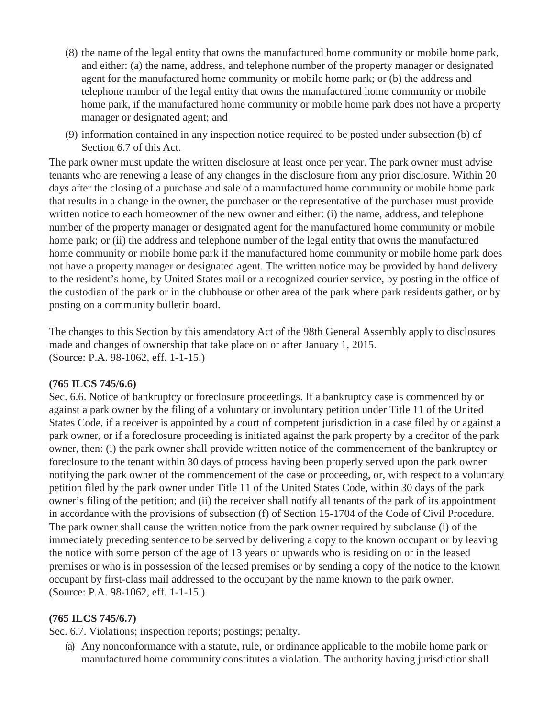- (8) the name of the legal entity that owns the manufactured home community or mobile home park, and either: (a) the name, address, and telephone number of the property manager or designated agent for the manufactured home community or mobile home park; or (b) the address and telephone number of the legal entity that owns the manufactured home community or mobile home park, if the manufactured home community or mobile home park does not have a property manager or designated agent; and
- (9) information contained in any inspection notice required to be posted under subsection (b) of Section 6.7 of this Act.

The park owner must update the written disclosure at least once per year. The park owner must advise tenants who are renewing a lease of any changes in the disclosure from any prior disclosure. Within 20 days after the closing of a purchase and sale of a manufactured home community or mobile home park that results in a change in the owner, the purchaser or the representative of the purchaser must provide written notice to each homeowner of the new owner and either: (i) the name, address, and telephone number of the property manager or designated agent for the manufactured home community or mobile home park; or (ii) the address and telephone number of the legal entity that owns the manufactured home community or mobile home park if the manufactured home community or mobile home park does not have a property manager or designated agent. The written notice may be provided by hand delivery to the resident's home, by United States mail or a recognized courier service, by posting in the office of the custodian of the park or in the clubhouse or other area of the park where park residents gather, or by posting on a community bulletin board.

The changes to this Section by this amendatory Act of the 98th General Assembly apply to disclosures made and changes of ownership that take place on or after January 1, 2015. (Source: P.A. 98-1062, eff. 1-1-15.)

#### **(765 ILCS 745/6.6)**

Sec. 6.6. Notice of bankruptcy or foreclosure proceedings. If a bankruptcy case is commenced by or against a park owner by the filing of a voluntary or involuntary petition under Title 11 of the United States Code, if a receiver is appointed by a court of competent jurisdiction in a case filed by or against a park owner, or if a foreclosure proceeding is initiated against the park property by a creditor of the park owner, then: (i) the park owner shall provide written notice of the commencement of the bankruptcy or foreclosure to the tenant within 30 days of process having been properly served upon the park owner notifying the park owner of the commencement of the case or proceeding, or, with respect to a voluntary petition filed by the park owner under Title 11 of the United States Code, within 30 days of the park owner's filing of the petition; and (ii) the receiver shall notify all tenants of the park of its appointment in accordance with the provisions of subsection (f) of Section 15-1704 of the Code of Civil Procedure. The park owner shall cause the written notice from the park owner required by subclause (i) of the immediately preceding sentence to be served by delivering a copy to the known occupant or by leaving the notice with some person of the age of 13 years or upwards who is residing on or in the leased premises or who is in possession of the leased premises or by sending a copy of the notice to the known occupant by first-class mail addressed to the occupant by the name known to the park owner. (Source: P.A. 98-1062, eff. 1-1-15.)

#### **(765 ILCS 745/6.7)**

Sec. 6.7. Violations; inspection reports; postings; penalty.

(a) Any nonconformance with a statute, rule, or ordinance applicable to the mobile home park or manufactured home community constitutes a violation. The authority having jurisdictionshall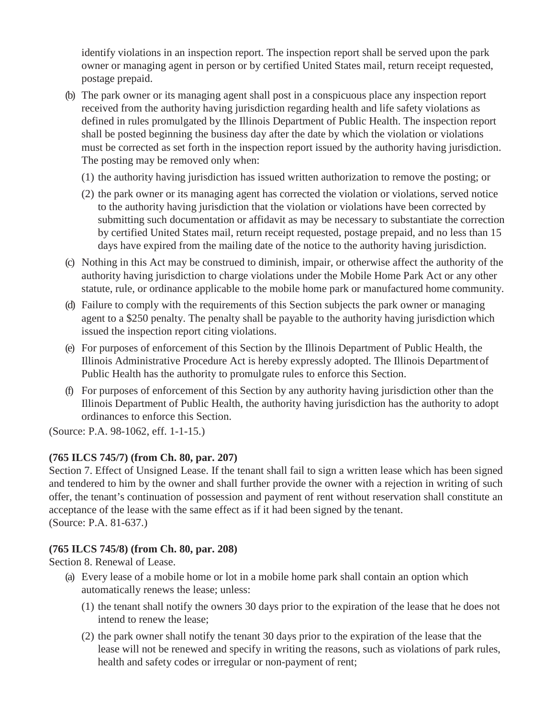identify violations in an inspection report. The inspection report shall be served upon the park owner or managing agent in person or by certified United States mail, return receipt requested, postage prepaid.

- (b) The park owner or its managing agent shall post in a conspicuous place any inspection report received from the authority having jurisdiction regarding health and life safety violations as defined in rules promulgated by the Illinois Department of Public Health. The inspection report shall be posted beginning the business day after the date by which the violation or violations must be corrected as set forth in the inspection report issued by the authority having jurisdiction. The posting may be removed only when:
	- (1) the authority having jurisdiction has issued written authorization to remove the posting; or
	- (2) the park owner or its managing agent has corrected the violation or violations, served notice to the authority having jurisdiction that the violation or violations have been corrected by submitting such documentation or affidavit as may be necessary to substantiate the correction by certified United States mail, return receipt requested, postage prepaid, and no less than 15 days have expired from the mailing date of the notice to the authority having jurisdiction.
- (c) Nothing in this Act may be construed to diminish, impair, or otherwise affect the authority of the authority having jurisdiction to charge violations under the Mobile Home Park Act or any other statute, rule, or ordinance applicable to the mobile home park or manufactured home community.
- (d) Failure to comply with the requirements of this Section subjects the park owner or managing agent to a \$250 penalty. The penalty shall be payable to the authority having jurisdiction which issued the inspection report citing violations.
- (e) For purposes of enforcement of this Section by the Illinois Department of Public Health, the Illinois Administrative Procedure Act is hereby expressly adopted. The Illinois Departmentof Public Health has the authority to promulgate rules to enforce this Section.
- (f) For purposes of enforcement of this Section by any authority having jurisdiction other than the Illinois Department of Public Health, the authority having jurisdiction has the authority to adopt ordinances to enforce this Section.

(Source: P.A. 98-1062, eff. 1-1-15.)

#### **(765 ILCS 745/7) (from Ch. 80, par. 207)**

Section 7. Effect of Unsigned Lease. If the tenant shall fail to sign a written lease which has been signed and tendered to him by the owner and shall further provide the owner with a rejection in writing of such offer, the tenant's continuation of possession and payment of rent without reservation shall constitute an acceptance of the lease with the same effect as if it had been signed by the tenant. (Source: P.A. 81-637.)

#### **(765 ILCS 745/8) (from Ch. 80, par. 208)**

Section 8. Renewal of Lease.

- (a) Every lease of a mobile home or lot in a mobile home park shall contain an option which automatically renews the lease; unless:
	- (1) the tenant shall notify the owners 30 days prior to the expiration of the lease that he does not intend to renew the lease;
	- (2) the park owner shall notify the tenant 30 days prior to the expiration of the lease that the lease will not be renewed and specify in writing the reasons, such as violations of park rules, health and safety codes or irregular or non-payment of rent;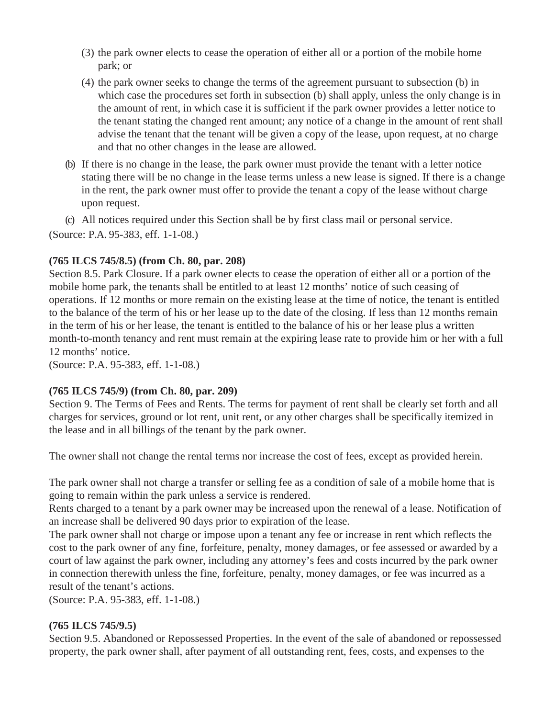- (3) the park owner elects to cease the operation of either all or a portion of the mobile home park; or
- (4) the park owner seeks to change the terms of the agreement pursuant to subsection (b) in which case the procedures set forth in subsection (b) shall apply, unless the only change is in the amount of rent, in which case it is sufficient if the park owner provides a letter notice to the tenant stating the changed rent amount; any notice of a change in the amount of rent shall advise the tenant that the tenant will be given a copy of the lease, upon request, at no charge and that no other changes in the lease are allowed.
- (b) If there is no change in the lease, the park owner must provide the tenant with a letter notice stating there will be no change in the lease terms unless a new lease is signed. If there is a change in the rent, the park owner must offer to provide the tenant a copy of the lease without charge upon request.

(c) All notices required under this Section shall be by first class mail or personal service.

(Source: P.A. 95-383, eff. 1-1-08.)

#### **(765 ILCS 745/8.5) (from Ch. 80, par. 208)**

Section 8.5. Park Closure. If a park owner elects to cease the operation of either all or a portion of the mobile home park, the tenants shall be entitled to at least 12 months' notice of such ceasing of operations. If 12 months or more remain on the existing lease at the time of notice, the tenant is entitled to the balance of the term of his or her lease up to the date of the closing. If less than 12 months remain in the term of his or her lease, the tenant is entitled to the balance of his or her lease plus a written month-to-month tenancy and rent must remain at the expiring lease rate to provide him or her with a full 12 months' notice.

(Source: P.A. 95-383, eff. 1-1-08.)

#### **(765 ILCS 745/9) (from Ch. 80, par. 209)**

Section 9. The Terms of Fees and Rents. The terms for payment of rent shall be clearly set forth and all charges for services, ground or lot rent, unit rent, or any other charges shall be specifically itemized in the lease and in all billings of the tenant by the park owner.

The owner shall not change the rental terms nor increase the cost of fees, except as provided herein.

The park owner shall not charge a transfer or selling fee as a condition of sale of a mobile home that is going to remain within the park unless a service is rendered.

Rents charged to a tenant by a park owner may be increased upon the renewal of a lease. Notification of an increase shall be delivered 90 days prior to expiration of the lease.

The park owner shall not charge or impose upon a tenant any fee or increase in rent which reflects the cost to the park owner of any fine, forfeiture, penalty, money damages, or fee assessed or awarded by a court of law against the park owner, including any attorney's fees and costs incurred by the park owner in connection therewith unless the fine, forfeiture, penalty, money damages, or fee was incurred as a result of the tenant's actions.

(Source: P.A. 95-383, eff. 1-1-08.)

#### **(765 ILCS 745/9.5)**

Section 9.5. Abandoned or Repossessed Properties. In the event of the sale of abandoned or repossessed property, the park owner shall, after payment of all outstanding rent, fees, costs, and expenses to the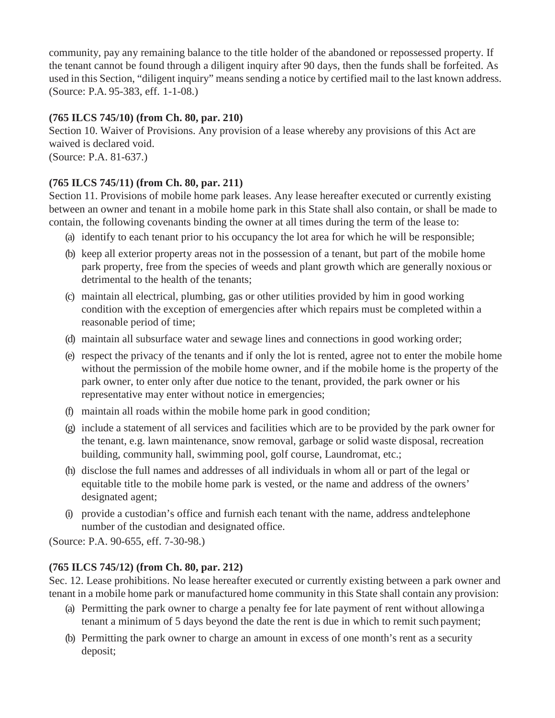community, pay any remaining balance to the title holder of the abandoned or repossessed property. If the tenant cannot be found through a diligent inquiry after 90 days, then the funds shall be forfeited. As used in this Section, "diligent inquiry" means sending a notice by certified mail to the last known address. (Source: P.A. 95-383, eff. 1-1-08.)

#### **(765 ILCS 745/10) (from Ch. 80, par. 210)**

Section 10. Waiver of Provisions. Any provision of a lease whereby any provisions of this Act are waived is declared void. (Source: P.A. 81-637.)

#### **(765 ILCS 745/11) (from Ch. 80, par. 211)**

Section 11. Provisions of mobile home park leases. Any lease hereafter executed or currently existing between an owner and tenant in a mobile home park in this State shall also contain, or shall be made to contain, the following covenants binding the owner at all times during the term of the lease to:

- (a) identify to each tenant prior to his occupancy the lot area for which he will be responsible;
- (b) keep all exterior property areas not in the possession of a tenant, but part of the mobile home park property, free from the species of weeds and plant growth which are generally noxious or detrimental to the health of the tenants;
- (c) maintain all electrical, plumbing, gas or other utilities provided by him in good working condition with the exception of emergencies after which repairs must be completed within a reasonable period of time;
- (d) maintain all subsurface water and sewage lines and connections in good working order;
- (e) respect the privacy of the tenants and if only the lot is rented, agree not to enter the mobile home without the permission of the mobile home owner, and if the mobile home is the property of the park owner, to enter only after due notice to the tenant, provided, the park owner or his representative may enter without notice in emergencies;
- (f) maintain all roads within the mobile home park in good condition;
- (g) include a statement of all services and facilities which are to be provided by the park owner for the tenant, e.g. lawn maintenance, snow removal, garbage or solid waste disposal, recreation building, community hall, swimming pool, golf course, Laundromat, etc.;
- (h) disclose the full names and addresses of all individuals in whom all or part of the legal or equitable title to the mobile home park is vested, or the name and address of the owners' designated agent;
- (i) provide a custodian's office and furnish each tenant with the name, address andtelephone number of the custodian and designated office.

(Source: P.A. 90-655, eff. 7-30-98.)

#### **(765 ILCS 745/12) (from Ch. 80, par. 212)**

Sec. 12. Lease prohibitions. No lease hereafter executed or currently existing between a park owner and tenant in a mobile home park or manufactured home community in this State shall contain any provision:

- (a) Permitting the park owner to charge a penalty fee for late payment of rent without allowinga tenant a minimum of 5 days beyond the date the rent is due in which to remit such payment;
- (b) Permitting the park owner to charge an amount in excess of one month's rent as a security deposit;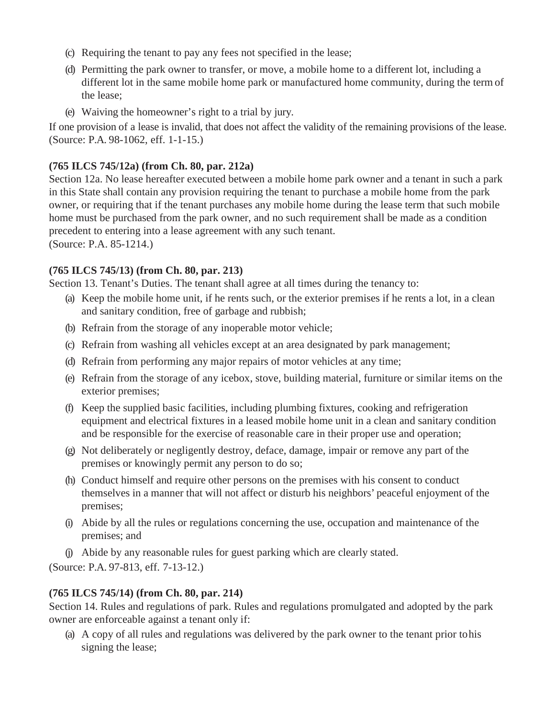- (c) Requiring the tenant to pay any fees not specified in the lease;
- (d) Permitting the park owner to transfer, or move, a mobile home to a different lot, including a different lot in the same mobile home park or manufactured home community, during the term of the lease;
- (e) Waiving the homeowner's right to a trial by jury.

If one provision of a lease is invalid, that does not affect the validity of the remaining provisions of the lease. (Source: P.A. 98-1062, eff. 1-1-15.)

#### **(765 ILCS 745/12a) (from Ch. 80, par. 212a)**

Section 12a. No lease hereafter executed between a mobile home park owner and a tenant in such a park in this State shall contain any provision requiring the tenant to purchase a mobile home from the park owner, or requiring that if the tenant purchases any mobile home during the lease term that such mobile home must be purchased from the park owner, and no such requirement shall be made as a condition precedent to entering into a lease agreement with any such tenant.

(Source: P.A. 85-1214.)

#### **(765 ILCS 745/13) (from Ch. 80, par. 213)**

Section 13. Tenant's Duties. The tenant shall agree at all times during the tenancy to:

- (a) Keep the mobile home unit, if he rents such, or the exterior premises if he rents a lot, in a clean and sanitary condition, free of garbage and rubbish;
- (b) Refrain from the storage of any inoperable motor vehicle;
- (c) Refrain from washing all vehicles except at an area designated by park management;
- (d) Refrain from performing any major repairs of motor vehicles at any time;
- (e) Refrain from the storage of any icebox, stove, building material, furniture or similar items on the exterior premises;
- (f) Keep the supplied basic facilities, including plumbing fixtures, cooking and refrigeration equipment and electrical fixtures in a leased mobile home unit in a clean and sanitary condition and be responsible for the exercise of reasonable care in their proper use and operation;
- (g) Not deliberately or negligently destroy, deface, damage, impair or remove any part of the premises or knowingly permit any person to do so;
- (h) Conduct himself and require other persons on the premises with his consent to conduct themselves in a manner that will not affect or disturb his neighbors' peaceful enjoyment of the premises;
- (i) Abide by all the rules or regulations concerning the use, occupation and maintenance of the premises; and
- (j) Abide by any reasonable rules for guest parking which are clearly stated.

(Source: P.A. 97-813, eff. 7-13-12.)

#### **(765 ILCS 745/14) (from Ch. 80, par. 214)**

Section 14. Rules and regulations of park. Rules and regulations promulgated and adopted by the park owner are enforceable against a tenant only if:

(a) A copy of all rules and regulations was delivered by the park owner to the tenant prior tohis signing the lease;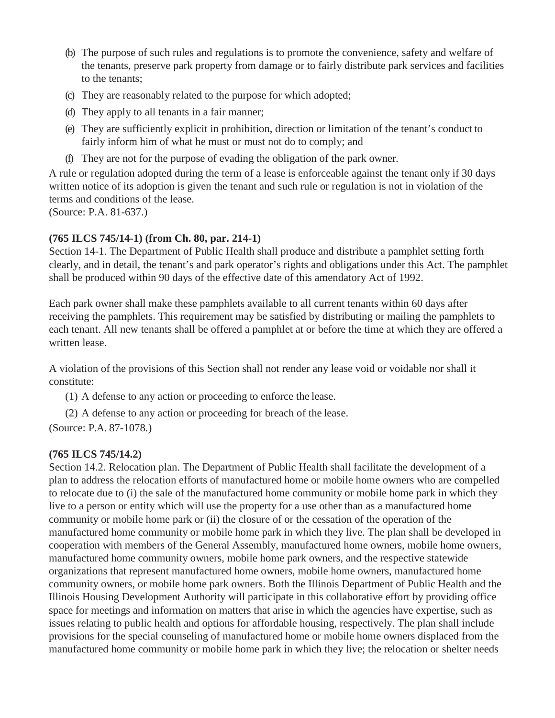- (b) The purpose of such rules and regulations is to promote the convenience, safety and welfare of the tenants, preserve park property from damage or to fairly distribute park services and facilities to the tenants;
- (c) They are reasonably related to the purpose for which adopted;
- (d) They apply to all tenants in a fair manner;
- (e) They are sufficiently explicit in prohibition, direction or limitation of the tenant's conduct to fairly inform him of what he must or must not do to comply; and
- (f) They are not for the purpose of evading the obligation of the park owner.

A rule or regulation adopted during the term of a lease is enforceable against the tenant only if 30 days written notice of its adoption is given the tenant and such rule or regulation is not in violation of the terms and conditions of the lease.

(Source: P.A. 81-637.)

#### **(765 ILCS 745/14-1) (from Ch. 80, par. 214-1)**

Section 14-1. The Department of Public Health shall produce and distribute a pamphlet setting forth clearly, and in detail, the tenant's and park operator's rights and obligations under this Act. The pamphlet shall be produced within 90 days of the effective date of this amendatory Act of 1992.

Each park owner shall make these pamphlets available to all current tenants within 60 days after receiving the pamphlets. This requirement may be satisfied by distributing or mailing the pamphlets to each tenant. All new tenants shall be offered a pamphlet at or before the time at which they are offered a written lease.

A violation of the provisions of this Section shall not render any lease void or voidable nor shall it constitute:

(1) A defense to any action or proceeding to enforce the lease.

(2) A defense to any action or proceeding for breach of the lease.

(Source: P.A. 87-1078.)

#### **(765 ILCS 745/14.2)**

Section 14.2. Relocation plan. The Department of Public Health shall facilitate the development of a plan to address the relocation efforts of manufactured home or mobile home owners who are compelled to relocate due to (i) the sale of the manufactured home community or mobile home park in which they live to a person or entity which will use the property for a use other than as a manufactured home community or mobile home park or (ii) the closure of or the cessation of the operation of the manufactured home community or mobile home park in which they live. The plan shall be developed in cooperation with members of the General Assembly, manufactured home owners, mobile home owners, manufactured home community owners, mobile home park owners, and the respective statewide organizations that represent manufactured home owners, mobile home owners, manufactured home community owners, or mobile home park owners. Both the Illinois Department of Public Health and the Illinois Housing Development Authority will participate in this collaborative effort by providing office space for meetings and information on matters that arise in which the agencies have expertise, such as issues relating to public health and options for affordable housing, respectively. The plan shall include provisions for the special counseling of manufactured home or mobile home owners displaced from the manufactured home community or mobile home park in which they live; the relocation or shelter needs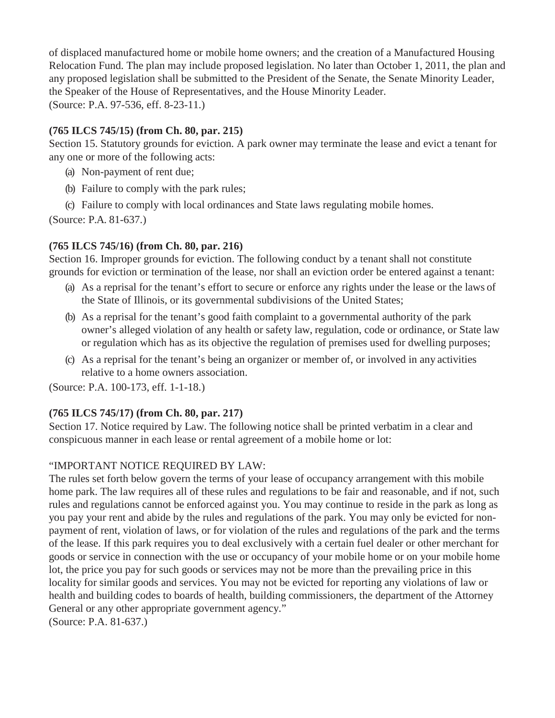of displaced manufactured home or mobile home owners; and the creation of a Manufactured Housing Relocation Fund. The plan may include proposed legislation. No later than October 1, 2011, the plan and any proposed legislation shall be submitted to the President of the Senate, the Senate Minority Leader, the Speaker of the House of Representatives, and the House Minority Leader. (Source: P.A. 97-536, eff. 8-23-11.)

#### **(765 ILCS 745/15) (from Ch. 80, par. 215)**

Section 15. Statutory grounds for eviction. A park owner may terminate the lease and evict a tenant for any one or more of the following acts:

- (a) Non-payment of rent due;
- (b) Failure to comply with the park rules;
- (c) Failure to comply with local ordinances and State laws regulating mobile homes.

(Source: P.A. 81-637.)

#### **(765 ILCS 745/16) (from Ch. 80, par. 216)**

Section 16. Improper grounds for eviction. The following conduct by a tenant shall not constitute grounds for eviction or termination of the lease, nor shall an eviction order be entered against a tenant:

- (a) As a reprisal for the tenant's effort to secure or enforce any rights under the lease or the laws of the State of Illinois, or its governmental subdivisions of the United States;
- (b) As a reprisal for the tenant's good faith complaint to a governmental authority of the park owner's alleged violation of any health or safety law, regulation, code or ordinance, or State law or regulation which has as its objective the regulation of premises used for dwelling purposes;
- (c) As a reprisal for the tenant's being an organizer or member of, or involved in any activities relative to a home owners association.

(Source: P.A. 100-173, eff. 1-1-18.)

#### **(765 ILCS 745/17) (from Ch. 80, par. 217)**

Section 17. Notice required by Law. The following notice shall be printed verbatim in a clear and conspicuous manner in each lease or rental agreement of a mobile home or lot:

#### "IMPORTANT NOTICE REQUIRED BY LAW:

The rules set forth below govern the terms of your lease of occupancy arrangement with this mobile home park. The law requires all of these rules and regulations to be fair and reasonable, and if not, such rules and regulations cannot be enforced against you. You may continue to reside in the park as long as you pay your rent and abide by the rules and regulations of the park. You may only be evicted for nonpayment of rent, violation of laws, or for violation of the rules and regulations of the park and the terms of the lease. If this park requires you to deal exclusively with a certain fuel dealer or other merchant for goods or service in connection with the use or occupancy of your mobile home or on your mobile home lot, the price you pay for such goods or services may not be more than the prevailing price in this locality for similar goods and services. You may not be evicted for reporting any violations of law or health and building codes to boards of health, building commissioners, the department of the Attorney General or any other appropriate government agency."

(Source: P.A. 81-637.)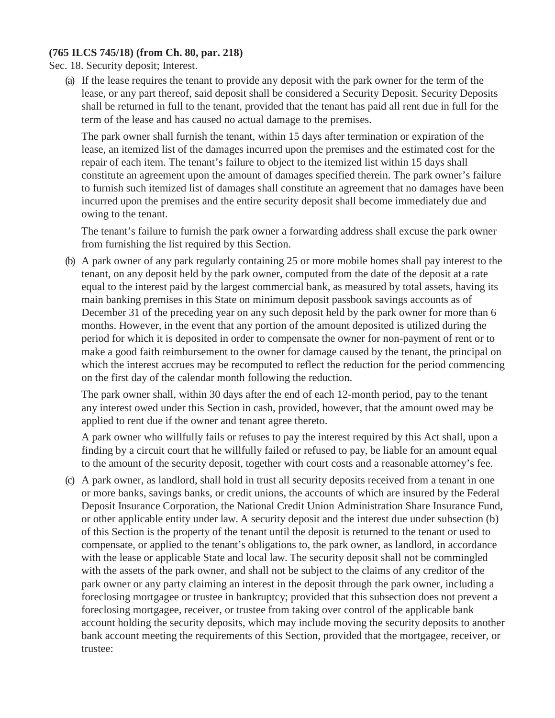#### **(765 ILCS 745/18) (from Ch. 80, par. 218)**

Sec. 18. Security deposit; Interest.

(a) If the lease requires the tenant to provide any deposit with the park owner for the term of the lease, or any part thereof, said deposit shall be considered a Security Deposit. Security Deposits shall be returned in full to the tenant, provided that the tenant has paid all rent due in full for the term of the lease and has caused no actual damage to the premises.

The park owner shall furnish the tenant, within 15 days after termination or expiration of the lease, an itemized list of the damages incurred upon the premises and the estimated cost for the repair of each item. The tenant's failure to object to the itemized list within 15 days shall constitute an agreement upon the amount of damages specified therein. The park owner's failure to furnish such itemized list of damages shall constitute an agreement that no damages have been incurred upon the premises and the entire security deposit shall become immediately due and owing to the tenant.

The tenant's failure to furnish the park owner a forwarding address shall excuse the park owner from furnishing the list required by this Section.

(b) A park owner of any park regularly containing 25 or more mobile homes shall pay interest to the tenant, on any deposit held by the park owner, computed from the date of the deposit at a rate equal to the interest paid by the largest commercial bank, as measured by total assets, having its main banking premises in this State on minimum deposit passbook savings accounts as of December 31 of the preceding year on any such deposit held by the park owner for more than 6 months. However, in the event that any portion of the amount deposited is utilized during the period for which it is deposited in order to compensate the owner for non-payment of rent or to make a good faith reimbursement to the owner for damage caused by the tenant, the principal on which the interest accrues may be recomputed to reflect the reduction for the period commencing on the first day of the calendar month following the reduction.

The park owner shall, within 30 days after the end of each 12-month period, pay to the tenant any interest owed under this Section in cash, provided, however, that the amount owed may be applied to rent due if the owner and tenant agree thereto.

A park owner who willfully fails or refuses to pay the interest required by this Act shall, upon a finding by a circuit court that he willfully failed or refused to pay, be liable for an amount equal to the amount of the security deposit, together with court costs and a reasonable attorney's fee.

(c) A park owner, as landlord, shall hold in trust all security deposits received from a tenant in one or more banks, savings banks, or credit unions, the accounts of which are insured by the Federal Deposit Insurance Corporation, the National Credit Union Administration Share Insurance Fund, or other applicable entity under law. A security deposit and the interest due under subsection (b) of this Section is the property of the tenant until the deposit is returned to the tenant or used to compensate, or applied to the tenant's obligations to, the park owner, as landlord, in accordance with the lease or applicable State and local law. The security deposit shall not be commingled with the assets of the park owner, and shall not be subject to the claims of any creditor of the park owner or any party claiming an interest in the deposit through the park owner, including a foreclosing mortgagee or trustee in bankruptcy; provided that this subsection does not prevent a foreclosing mortgagee, receiver, or trustee from taking over control of the applicable bank account holding the security deposits, which may include moving the security deposits to another bank account meeting the requirements of this Section, provided that the mortgagee, receiver, or trustee: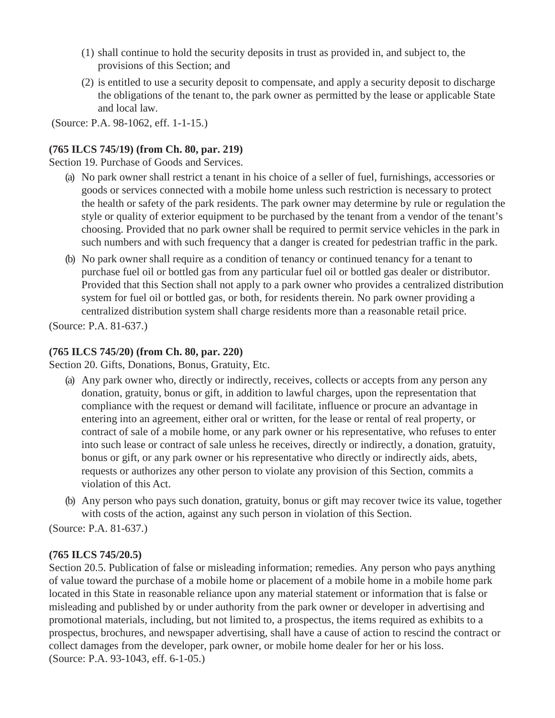- (1) shall continue to hold the security deposits in trust as provided in, and subject to, the provisions of this Section; and
- (2) is entitled to use a security deposit to compensate, and apply a security deposit to discharge the obligations of the tenant to, the park owner as permitted by the lease or applicable State and local law.

(Source: P.A. 98-1062, eff. 1-1-15.)

#### **(765 ILCS 745/19) (from Ch. 80, par. 219)**

Section 19. Purchase of Goods and Services.

- (a) No park owner shall restrict a tenant in his choice of a seller of fuel, furnishings, accessories or goods or services connected with a mobile home unless such restriction is necessary to protect the health or safety of the park residents. The park owner may determine by rule or regulation the style or quality of exterior equipment to be purchased by the tenant from a vendor of the tenant's choosing. Provided that no park owner shall be required to permit service vehicles in the park in such numbers and with such frequency that a danger is created for pedestrian traffic in the park.
- (b) No park owner shall require as a condition of tenancy or continued tenancy for a tenant to purchase fuel oil or bottled gas from any particular fuel oil or bottled gas dealer or distributor. Provided that this Section shall not apply to a park owner who provides a centralized distribution system for fuel oil or bottled gas, or both, for residents therein. No park owner providing a centralized distribution system shall charge residents more than a reasonable retail price.

(Source: P.A. 81-637.)

#### **(765 ILCS 745/20) (from Ch. 80, par. 220)**

Section 20. Gifts, Donations, Bonus, Gratuity, Etc.

- (a) Any park owner who, directly or indirectly, receives, collects or accepts from any person any donation, gratuity, bonus or gift, in addition to lawful charges, upon the representation that compliance with the request or demand will facilitate, influence or procure an advantage in entering into an agreement, either oral or written, for the lease or rental of real property, or contract of sale of a mobile home, or any park owner or his representative, who refuses to enter into such lease or contract of sale unless he receives, directly or indirectly, a donation, gratuity, bonus or gift, or any park owner or his representative who directly or indirectly aids, abets, requests or authorizes any other person to violate any provision of this Section, commits a violation of this Act.
- (b) Any person who pays such donation, gratuity, bonus or gift may recover twice its value, together with costs of the action, against any such person in violation of this Section.

(Source: P.A. 81-637.)

#### **(765 ILCS 745/20.5)**

Section 20.5. Publication of false or misleading information; remedies. Any person who pays anything of value toward the purchase of a mobile home or placement of a mobile home in a mobile home park located in this State in reasonable reliance upon any material statement or information that is false or misleading and published by or under authority from the park owner or developer in advertising and promotional materials, including, but not limited to, a prospectus, the items required as exhibits to a prospectus, brochures, and newspaper advertising, shall have a cause of action to rescind the contract or collect damages from the developer, park owner, or mobile home dealer for her or his loss. (Source: P.A. 93-1043, eff. 6-1-05.)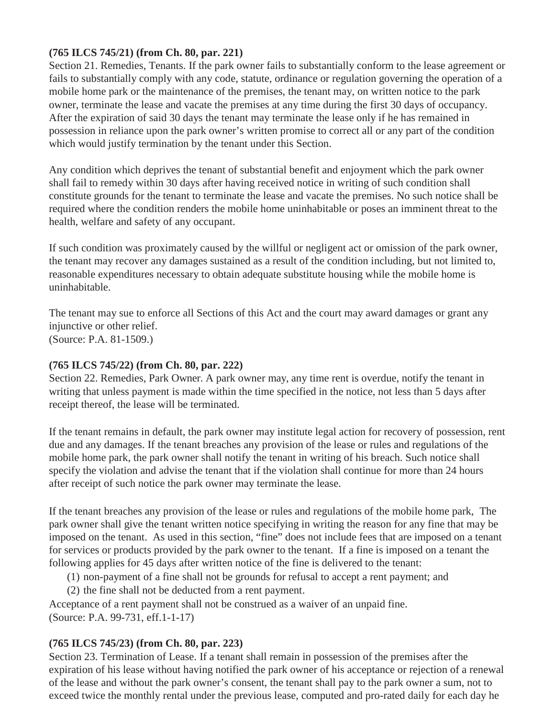#### **(765 ILCS 745/21) (from Ch. 80, par. 221)**

Section 21. Remedies, Tenants. If the park owner fails to substantially conform to the lease agreement or fails to substantially comply with any code, statute, ordinance or regulation governing the operation of a mobile home park or the maintenance of the premises, the tenant may, on written notice to the park owner, terminate the lease and vacate the premises at any time during the first 30 days of occupancy. After the expiration of said 30 days the tenant may terminate the lease only if he has remained in possession in reliance upon the park owner's written promise to correct all or any part of the condition which would justify termination by the tenant under this Section.

Any condition which deprives the tenant of substantial benefit and enjoyment which the park owner shall fail to remedy within 30 days after having received notice in writing of such condition shall constitute grounds for the tenant to terminate the lease and vacate the premises. No such notice shall be required where the condition renders the mobile home uninhabitable or poses an imminent threat to the health, welfare and safety of any occupant.

If such condition was proximately caused by the willful or negligent act or omission of the park owner, the tenant may recover any damages sustained as a result of the condition including, but not limited to, reasonable expenditures necessary to obtain adequate substitute housing while the mobile home is uninhabitable.

The tenant may sue to enforce all Sections of this Act and the court may award damages or grant any injunctive or other relief. (Source: P.A. 81-1509.)

#### **(765 ILCS 745/22) (from Ch. 80, par. 222)**

Section 22. Remedies, Park Owner. A park owner may, any time rent is overdue, notify the tenant in writing that unless payment is made within the time specified in the notice, not less than 5 days after receipt thereof, the lease will be terminated.

If the tenant remains in default, the park owner may institute legal action for recovery of possession, rent due and any damages. If the tenant breaches any provision of the lease or rules and regulations of the mobile home park, the park owner shall notify the tenant in writing of his breach. Such notice shall specify the violation and advise the tenant that if the violation shall continue for more than 24 hours after receipt of such notice the park owner may terminate the lease.

If the tenant breaches any provision of the lease or rules and regulations of the mobile home park, The park owner shall give the tenant written notice specifying in writing the reason for any fine that may be imposed on the tenant. As used in this section, "fine" does not include fees that are imposed on a tenant for services or products provided by the park owner to the tenant. If a fine is imposed on a tenant the following applies for 45 days after written notice of the fine is delivered to the tenant:

- (1) non-payment of a fine shall not be grounds for refusal to accept a rent payment; and
- (2) the fine shall not be deducted from a rent payment.

Acceptance of a rent payment shall not be construed as a waiver of an unpaid fine. (Source: P.A. 99-731, eff.1-1-17)

#### **(765 ILCS 745/23) (from Ch. 80, par. 223)**

Section 23. Termination of Lease. If a tenant shall remain in possession of the premises after the expiration of his lease without having notified the park owner of his acceptance or rejection of a renewal of the lease and without the park owner's consent, the tenant shall pay to the park owner a sum, not to exceed twice the monthly rental under the previous lease, computed and pro-rated daily for each day he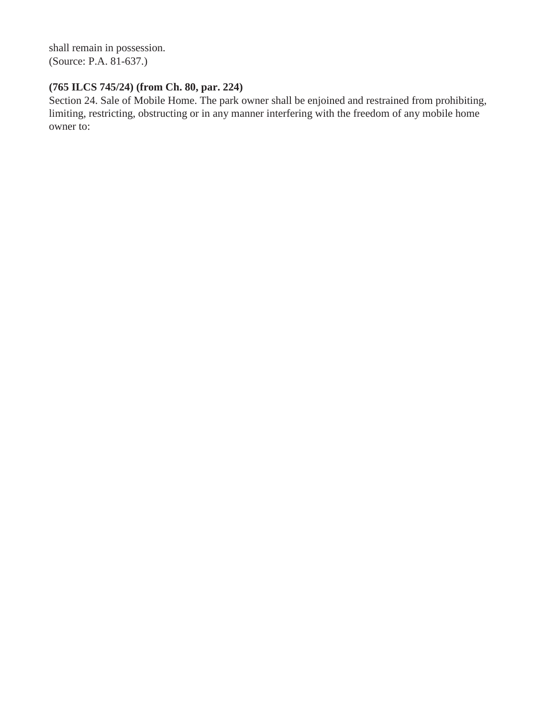shall remain in possession. (Source: P.A. 81-637.)

#### **(765 ILCS 745/24) (from Ch. 80, par. 224)**

Section 24. Sale of Mobile Home. The park owner shall be enjoined and restrained from prohibiting, limiting, restricting, obstructing or in any manner interfering with the freedom of any mobile home owner to: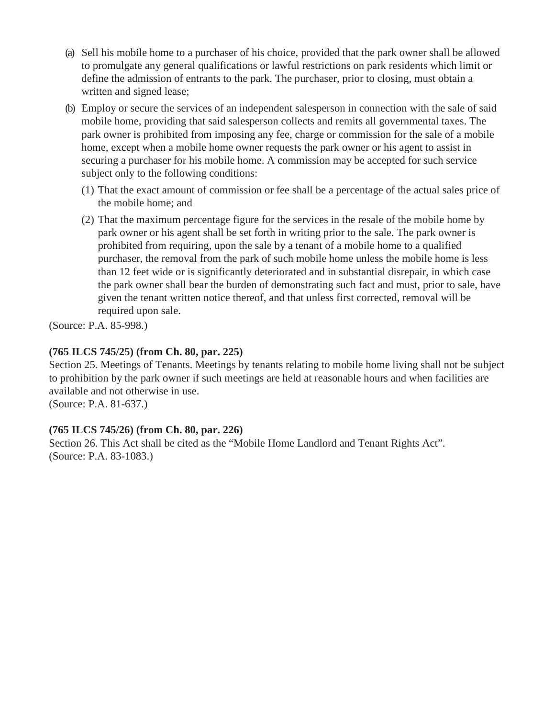- (a) Sell his mobile home to a purchaser of his choice, provided that the park owner shall be allowed to promulgate any general qualifications or lawful restrictions on park residents which limit or define the admission of entrants to the park. The purchaser, prior to closing, must obtain a written and signed lease;
- (b) Employ or secure the services of an independent salesperson in connection with the sale of said mobile home, providing that said salesperson collects and remits all governmental taxes. The park owner is prohibited from imposing any fee, charge or commission for the sale of a mobile home, except when a mobile home owner requests the park owner or his agent to assist in securing a purchaser for his mobile home. A commission may be accepted for such service subject only to the following conditions:
	- (1) That the exact amount of commission or fee shall be a percentage of the actual sales price of the mobile home; and
	- (2) That the maximum percentage figure for the services in the resale of the mobile home by park owner or his agent shall be set forth in writing prior to the sale. The park owner is prohibited from requiring, upon the sale by a tenant of a mobile home to a qualified purchaser, the removal from the park of such mobile home unless the mobile home is less than 12 feet wide or is significantly deteriorated and in substantial disrepair, in which case the park owner shall bear the burden of demonstrating such fact and must, prior to sale, have given the tenant written notice thereof, and that unless first corrected, removal will be required upon sale.

(Source: P.A. 85-998.)

#### **(765 ILCS 745/25) (from Ch. 80, par. 225)**

Section 25. Meetings of Tenants. Meetings by tenants relating to mobile home living shall not be subject to prohibition by the park owner if such meetings are held at reasonable hours and when facilities are available and not otherwise in use.

(Source: P.A. 81-637.)

#### **(765 ILCS 745/26) (from Ch. 80, par. 226)**

Section 26. This Act shall be cited as the "Mobile Home Landlord and Tenant Rights Act". (Source: P.A. 83-1083.)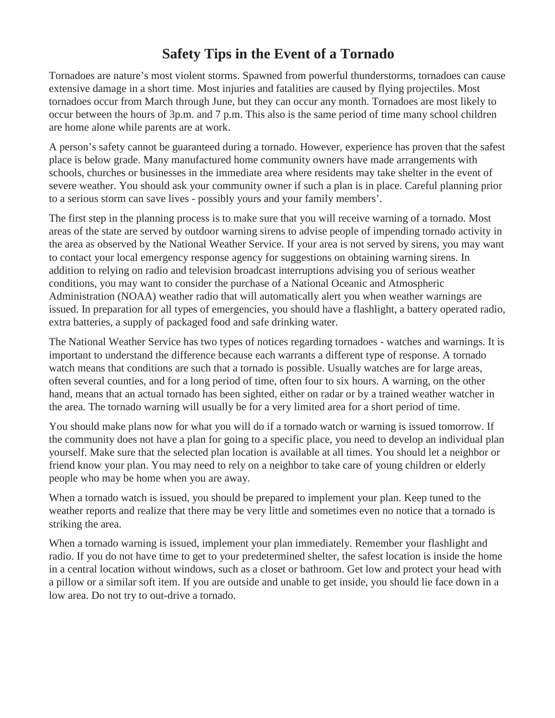# **Safety Tips in the Event of a Tornado**

Tornadoes are nature's most violent storms. Spawned from powerful thunderstorms, tornadoes can cause extensive damage in a short time. Most injuries and fatalities are caused by flying projectiles. Most tornadoes occur from March through June, but they can occur any month. Tornadoes are most likely to occur between the hours of 3p.m. and 7 p.m. This also is the same period of time many school children are home alone while parents are at work.

A person's safety cannot be guaranteed during a tornado. However, experience has proven that the safest place is below grade. Many manufactured home community owners have made arrangements with schools, churches or businesses in the immediate area where residents may take shelter in the event of severe weather. You should ask your community owner if such a plan is in place. Careful planning prior to a serious storm can save lives - possibly yours and your family members'.

The first step in the planning process is to make sure that you will receive warning of a tornado. Most areas of the state are served by outdoor warning sirens to advise people of impending tornado activity in the area as observed by the National Weather Service. If your area is not served by sirens, you may want to contact your local emergency response agency for suggestions on obtaining warning sirens. In addition to relying on radio and television broadcast interruptions advising you of serious weather conditions, you may want to consider the purchase of a National Oceanic and Atmospheric Administration (NOAA) weather radio that will automatically alert you when weather warnings are issued. In preparation for all types of emergencies, you should have a flashlight, a battery operated radio, extra batteries, a supply of packaged food and safe drinking water.

The National Weather Service has two types of notices regarding tornadoes - watches and warnings. It is important to understand the difference because each warrants a different type of response. A tornado watch means that conditions are such that a tornado is possible. Usually watches are for large areas, often several counties, and for a long period of time, often four to six hours. A warning, on the other hand, means that an actual tornado has been sighted, either on radar or by a trained weather watcher in the area. The tornado warning will usually be for a very limited area for a short period of time.

You should make plans now for what you will do if a tornado watch or warning is issued tomorrow. If the community does not have a plan for going to a specific place, you need to develop an individual plan yourself. Make sure that the selected plan location is available at all times. You should let a neighbor or friend know your plan. You may need to rely on a neighbor to take care of young children or elderly people who may be home when you are away.

When a tornado watch is issued, you should be prepared to implement your plan. Keep tuned to the weather reports and realize that there may be very little and sometimes even no notice that a tornado is striking the area.

When a tornado warning is issued, implement your plan immediately. Remember your flashlight and radio. If you do not have time to get to your predetermined shelter, the safest location is inside the home in a central location without windows, such as a closet or bathroom. Get low and protect your head with a pillow or a similar soft item. If you are outside and unable to get inside, you should lie face down in a low area. Do not try to out-drive a tornado.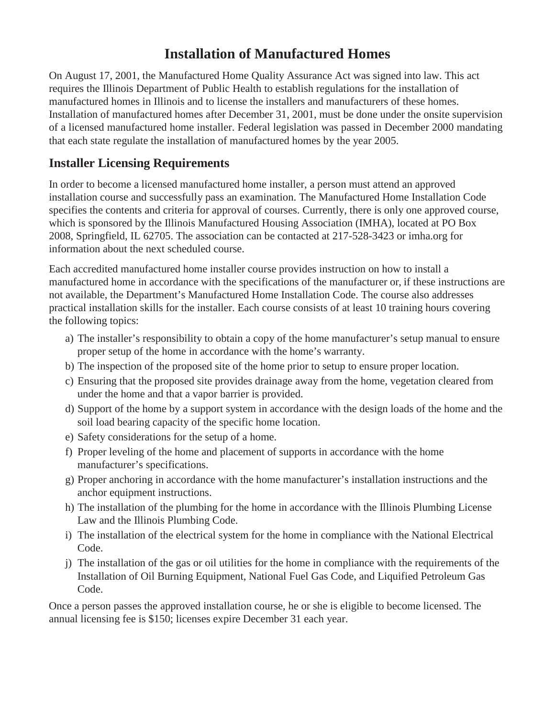# **Installation of Manufactured Homes**

On August 17, 2001, the Manufactured Home Quality Assurance Act was signed into law. This act requires the Illinois Department of Public Health to establish regulations for the installation of manufactured homes in Illinois and to license the installers and manufacturers of these homes. Installation of manufactured homes after December 31, 2001, must be done under the onsite supervision of a licensed manufactured home installer. Federal legislation was passed in December 2000 mandating that each state regulate the installation of manufactured homes by the year 2005.

## **Installer Licensing Requirements**

In order to become a licensed manufactured home installer, a person must attend an approved installation course and successfully pass an examination. The Manufactured Home Installation Code specifies the contents and criteria for approval of courses. Currently, there is only one approved course, which is sponsored by the Illinois Manufactured Housing Association (IMHA), located at PO Box 2008, Springfield, IL 62705. The association can be contacted at 217-528-3423 or imha.org for information about the next scheduled course.

Each accredited manufactured home installer course provides instruction on how to install a manufactured home in accordance with the specifications of the manufacturer or, if these instructions are not available, the Department's Manufactured Home Installation Code. The course also addresses practical installation skills for the installer. Each course consists of at least 10 training hours covering the following topics:

- a) The installer's responsibility to obtain a copy of the home manufacturer's setup manual to ensure proper setup of the home in accordance with the home's warranty.
- b) The inspection of the proposed site of the home prior to setup to ensure proper location.
- c) Ensuring that the proposed site provides drainage away from the home, vegetation cleared from under the home and that a vapor barrier is provided.
- d) Support of the home by a support system in accordance with the design loads of the home and the soil load bearing capacity of the specific home location.
- e) Safety considerations for the setup of a home.
- f) Proper leveling of the home and placement of supports in accordance with the home manufacturer's specifications.
- g) Proper anchoring in accordance with the home manufacturer's installation instructions and the anchor equipment instructions.
- h) The installation of the plumbing for the home in accordance with the Illinois Plumbing License Law and the Illinois Plumbing Code.
- i) The installation of the electrical system for the home in compliance with the National Electrical Code.
- j) The installation of the gas or oil utilities for the home in compliance with the requirements of the Installation of Oil Burning Equipment, National Fuel Gas Code, and Liquified Petroleum Gas Code.

Once a person passes the approved installation course, he or she is eligible to become licensed. The annual licensing fee is \$150; licenses expire December 31 each year.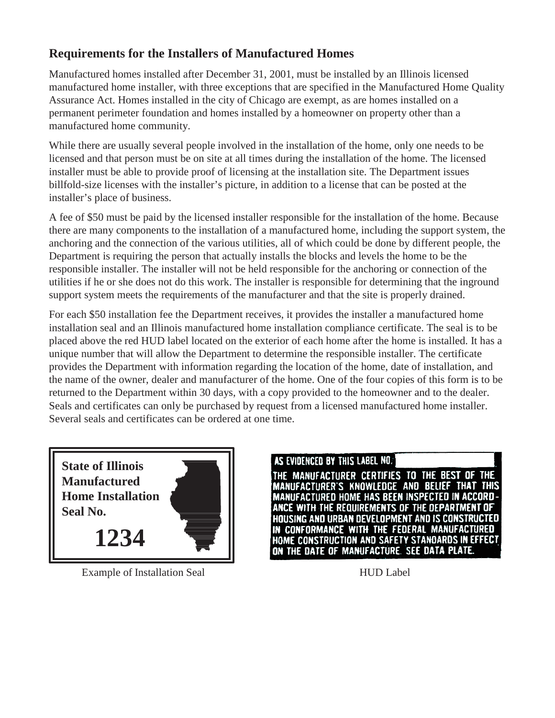## **Requirements for the Installers of Manufactured Homes**

Manufactured homes installed after December 31, 2001, must be installed by an Illinois licensed manufactured home installer, with three exceptions that are specified in the Manufactured Home Quality Assurance Act. Homes installed in the city of Chicago are exempt, as are homes installed on a permanent perimeter foundation and homes installed by a homeowner on property other than a manufactured home community.

While there are usually several people involved in the installation of the home, only one needs to be licensed and that person must be on site at all times during the installation of the home. The licensed installer must be able to provide proof of licensing at the installation site. The Department issues billfold-size licenses with the installer's picture, in addition to a license that can be posted at the installer's place of business.

A fee of \$50 must be paid by the licensed installer responsible for the installation of the home. Because there are many components to the installation of a manufactured home, including the support system, the anchoring and the connection of the various utilities, all of which could be done by different people, the Department is requiring the person that actually installs the blocks and levels the home to be the responsible installer. The installer will not be held responsible for the anchoring or connection of the utilities if he or she does not do this work. The installer is responsible for determining that the inground support system meets the requirements of the manufacturer and that the site is properly drained.

For each \$50 installation fee the Department receives, it provides the installer a manufactured home installation seal and an Illinois manufactured home installation compliance certificate. The seal is to be placed above the red HUD label located on the exterior of each home after the home is installed. It has a unique number that will allow the Department to determine the responsible installer. The certificate provides the Department with information regarding the location of the home, date of installation, and the name of the owner, dealer and manufacturer of the home. One of the four copies of this form is to be returned to the Department within 30 days, with a copy provided to the homeowner and to the dealer. Seals and certificates can only be purchased by request from a licensed manufactured home installer. Several seals and certificates can be ordered at one time.



Example of Installation Seal HUD Label

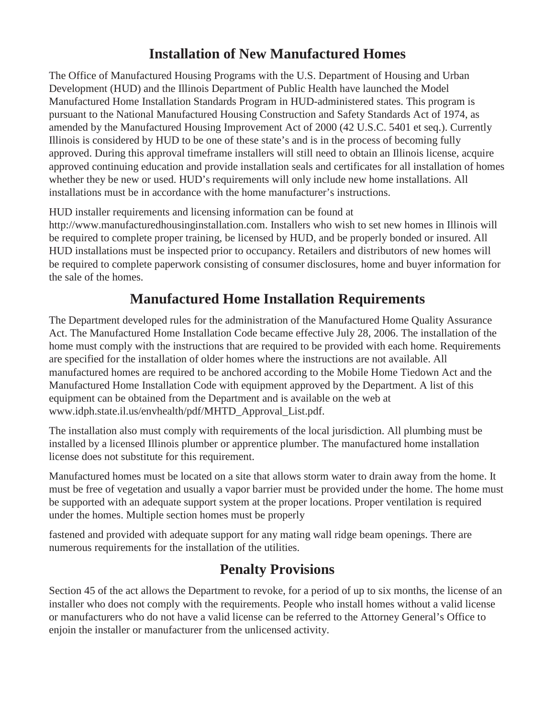# **Installation of New Manufactured Homes**

The Office of Manufactured Housing Programs with the U.S. Department of Housing and Urban Development (HUD) and the Illinois Department of Public Health have launched the Model Manufactured Home Installation Standards Program in HUD-administered states. This program is pursuant to the National Manufactured Housing Construction and Safety Standards Act of 1974, as amended by the Manufactured Housing Improvement Act of 2000 (42 U.S.C. 5401 et seq.). Currently Illinois is considered by HUD to be one of these state's and is in the process of becoming fully approved. During this approval timeframe installers will still need to obtain an Illinois license, acquire approved continuing education and provide installation seals and certificates for all installation of homes whether they be new or used. HUD's requirements will only include new home installations. All installations must be in accordance with the home manufacturer's instructions.

HUD installer requirements and licensing information can be found a[t](http://www.manufacturedhousinginstallation.com/)

[http://www.manufacturedhousinginstallation.com.](http://www.manufacturedhousinginstallation.com/) Installers who wish to set new homes in Illinois will be required to complete proper training, be licensed by HUD, and be properly bonded or insured. All HUD installations must be inspected prior to occupancy. Retailers and distributors of new homes will be required to complete paperwork consisting of consumer disclosures, home and buyer information for the sale of the homes.

## **Manufactured Home Installation Requirements**

The Department developed rules for the administration of the Manufactured Home Quality Assurance Act. The Manufactured Home Installation Code became effective July 28, 2006. The installation of the home must comply with the instructions that are required to be provided with each home. Requirements are specified for the installation of older homes where the instructions are not available. All manufactured homes are required to be anchored according to the Mobile Home Tiedown Act and the Manufactured Home Installation Code with equipment approved by the Department. A list of this equipment can be obtained from the Department and is available on the web a[t](http://www.idph.state.il.us/envhealth/pdf/MHTD_Approval_List.pdf) [www.idph.state.il.us/envhealth/pdf/MHTD\\_Approval\\_List.pdf.](http://www.idph.state.il.us/envhealth/pdf/MHTD_Approval_List.pdf)

The installation also must comply with requirements of the local jurisdiction. All plumbing must be installed by a licensed Illinois plumber or apprentice plumber. The manufactured home installation license does not substitute for this requirement.

Manufactured homes must be located on a site that allows storm water to drain away from the home. It must be free of vegetation and usually a vapor barrier must be provided under the home. The home must be supported with an adequate support system at the proper locations. Proper ventilation is required under the homes. Multiple section homes must be properly

fastened and provided with adequate support for any mating wall ridge beam openings. There are numerous requirements for the installation of the utilities.

# **Penalty Provisions**

Section 45 of the act allows the Department to revoke, for a period of up to six months, the license of an installer who does not comply with the requirements. People who install homes without a valid license or manufacturers who do not have a valid license can be referred to the Attorney General's Office to enjoin the installer or manufacturer from the unlicensed activity.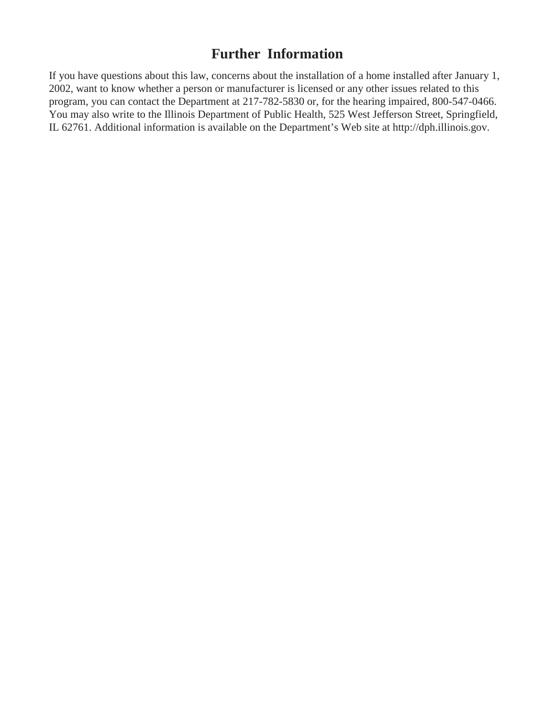## **Further Information**

If you have questions about this law, concerns about the installation of a home installed after January 1, 2002, want to know whether a person or manufacturer is licensed or any other issues related to this program, you can contact the Department at 217-782-5830 or, for the hearing impaired, 800-547-0466. You may also write to the Illinois Department of Public Health, 525 West Jefferson Street, Springfield, IL 62761. Additional information is available on the Department's [Web site at http://dph.illinois.gov.](http://dph.illinois.gov/)